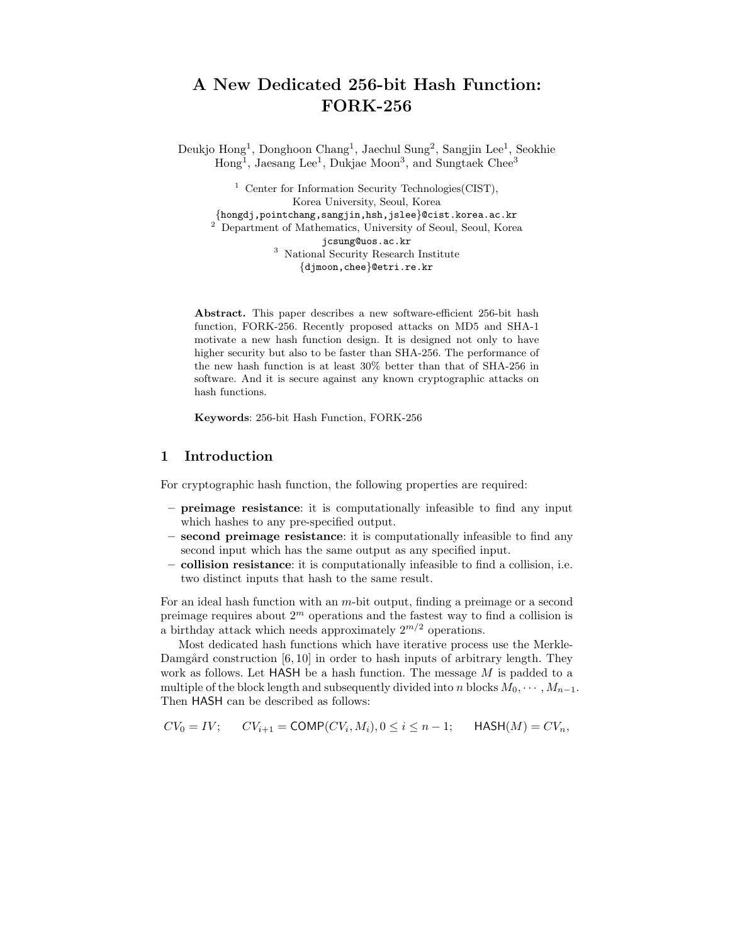# **A New Dedicated 256-bit Hash Function: FORK-256**

Deukjo Hong1, Donghoon Chang1, Jaechul Sung2, Sangjin Lee1, Seokhie  $Hong<sup>1</sup>$ , Jaesang Lee<sup>1</sup>, Dukjae Moon<sup>3</sup>, and Sungtaek Chee<sup>3</sup>

<sup>1</sup> Center for Information Security Technologies (CIST), Korea University, Seoul, Korea {hongdj,pointchang,sangjin,hsh,jslee}@cist.korea.ac.kr <sup>2</sup> Department of Mathematics, University of Seoul, Seoul, Korea jcsung@uos.ac.kr <sup>3</sup> National Security Research Institute {djmoon,chee}@etri.re.kr

**Abstract.** This paper describes a new software-efficient 256-bit hash function, FORK-256. Recently proposed attacks on MD5 and SHA-1 motivate a new hash function design. It is designed not only to have higher security but also to be faster than SHA-256. The performance of the new hash function is at least 30% better than that of SHA-256 in software. And it is secure against any known cryptographic attacks on hash functions.

**Keywords**: 256-bit Hash Function, FORK-256

## **1 Introduction**

For cryptographic hash function, the following properties are required:

- **preimage resistance**: it is computationally infeasible to find any input which hashes to any pre-specified output.
- **second preimage resistance**: it is computationally infeasible to find any second input which has the same output as any specified input.
- **collision resistance**: it is computationally infeasible to find a collision, i.e. two distinct inputs that hash to the same result.

For an ideal hash function with an m-bit output, finding a preimage or a second preimage requires about 2*<sup>m</sup>* operations and the fastest way to find a collision is a birthday attack which needs approximately  $2^{m/2}$  operations.

Most dedicated hash functions which have iterative process use the Merkle-Damgård construction  $[6, 10]$  in order to hash inputs of arbitrary length. They work as follows. Let HASH be a hash function. The message M is padded to a multiple of the block length and subsequently divided into n blocks  $M_0, \dots, M_{n-1}$ . Then HASH can be described as follows:

$$
CV_0 = IV; \qquad CV_{i+1} = \text{COMP}(CV_i, M_i), 0 \le i \le n-1; \qquad \text{HASH}(M) = CV_n,
$$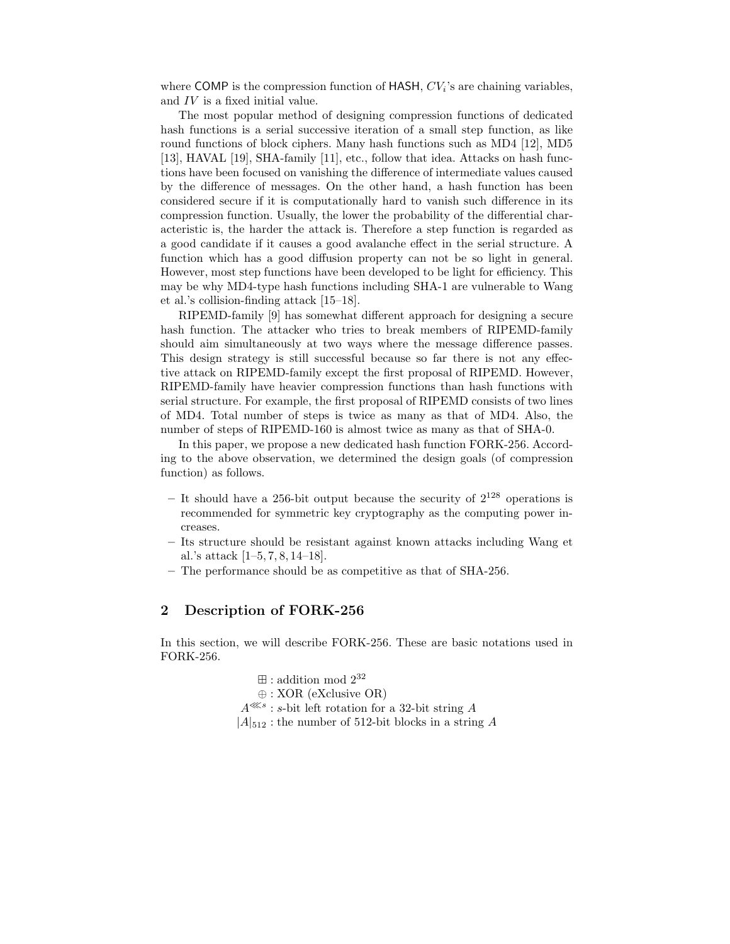where COMP is the compression function of HASH, CV*i*'s are chaining variables, and IV is a fixed initial value.

The most popular method of designing compression functions of dedicated hash functions is a serial successive iteration of a small step function, as like round functions of block ciphers. Many hash functions such as MD4 [12], MD5 [13], HAVAL [19], SHA-family [11], etc., follow that idea. Attacks on hash functions have been focused on vanishing the difference of intermediate values caused by the difference of messages. On the other hand, a hash function has been considered secure if it is computationally hard to vanish such difference in its compression function. Usually, the lower the probability of the differential characteristic is, the harder the attack is. Therefore a step function is regarded as a good candidate if it causes a good avalanche effect in the serial structure. A function which has a good diffusion property can not be so light in general. However, most step functions have been developed to be light for efficiency. This may be why MD4-type hash functions including SHA-1 are vulnerable to Wang et al.'s collision-finding attack [15–18].

RIPEMD-family [9] has somewhat different approach for designing a secure hash function. The attacker who tries to break members of RIPEMD-family should aim simultaneously at two ways where the message difference passes. This design strategy is still successful because so far there is not any effective attack on RIPEMD-family except the first proposal of RIPEMD. However, RIPEMD-family have heavier compression functions than hash functions with serial structure. For example, the first proposal of RIPEMD consists of two lines of MD4. Total number of steps is twice as many as that of MD4. Also, the number of steps of RIPEMD-160 is almost twice as many as that of SHA-0.

In this paper, we propose a new dedicated hash function FORK-256. According to the above observation, we determined the design goals (of compression function) as follows.

- **–** It should have a 256-bit output because the security of 2<sup>128</sup> operations is recommended for symmetric key cryptography as the computing power increases.
- **–** Its structure should be resistant against known attacks including Wang et al.'s attack [1–5, 7, 8, 14–18].
- **–** The performance should be as competitive as that of SHA-256.

## **2 Description of FORK-256**

In this section, we will describe FORK-256. These are basic notations used in FORK-256.

> $\boxplus$ : addition mod  $2^{32}$ ⊕ : XOR (eXclusive OR)  $A^{\lll s}$ : s-bit left rotation for a 32-bit string A  $|A|_{512}$ : the number of 512-bit blocks in a string A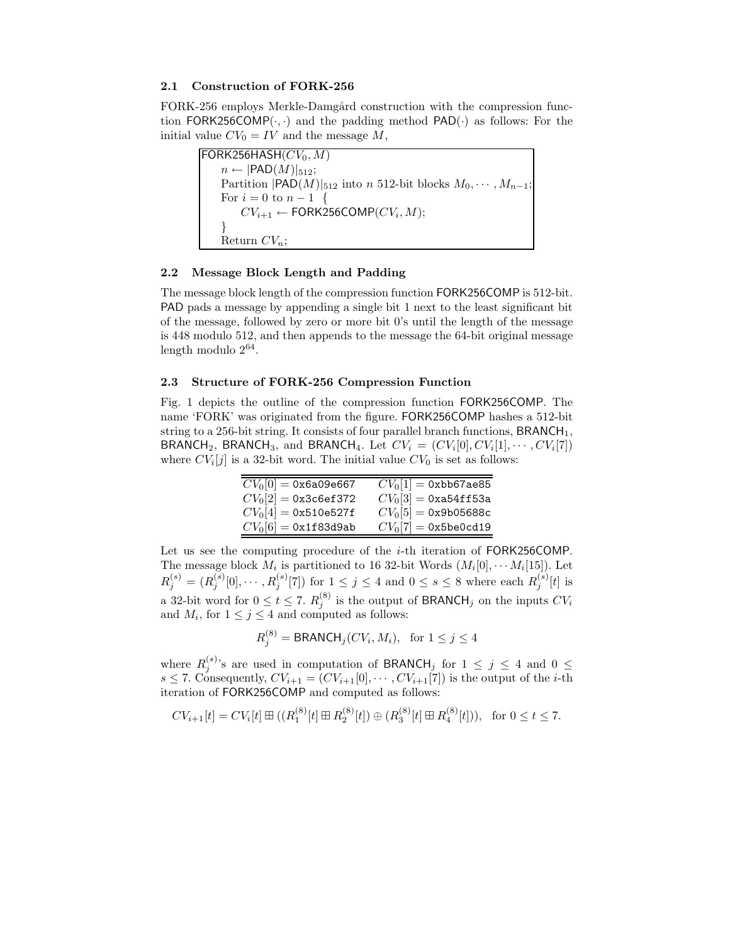## **2.1 Construction of FORK-256**

FORK-256 employs Merkle-Damgård construction with the compression function FORK256COMP( $\cdot$ , $\cdot$ ) and the padding method PAD( $\cdot$ ) as follows: For the initial value  $CV_0 = IV$  and the message M,

 $FORK256HASH(CV_0, M)$  $n \leftarrow |$ PAD $(M)|_{512};$ Partition  $|PAD(M)|_{512}$  into n 512-bit blocks  $M_0, \cdots, M_{n-1}$ ; For  $i = 0$  to  $n - 1$  {<br>  $C V_{i+1} \leftarrow$  FORK2  $CV_{i+1} \leftarrow \textsf{FORK256COMP}(CV_i, M);$ Return CV*n*;

### **2.2 Message Block Length and Padding**

The message block length of the compression function FORK256COMP is 512-bit. PAD pads a message by appending a single bit 1 next to the least significant bit of the message, followed by zero or more bit 0's until the length of the message is 448 modulo 512, and then appends to the message the 64-bit original message length modulo  $2^{64}$ .

#### **2.3 Structure of FORK-256 Compression Function**

Fig. 1 depicts the outline of the compression function FORK256COMP. The name 'FORK' was originated from the figure. FORK256COMP hashes a 512-bit string to a 256-bit string. It consists of four parallel branch functions,  $BRANCH<sub>1</sub>$ , BRANCH<sub>2</sub>, BRANCH<sub>3</sub>, and BRANCH<sub>4</sub>. Let  $CV_i = (CV_i[0], CV_i[1], \cdots, CV_i[7])$ where  $CV_i[j]$  is a 32-bit word. The initial value  $CV_0$  is set as follows:

| $CV_0[0] = 0x6a09e667$ | $CV_0[1] = 0$ xbb67ae85 |
|------------------------|-------------------------|
| $CV_0[2] = 0x3c6ef372$ | $CV_0[3] = 0$ xa54ff53a |
| $CV_0[4] = 0x510e527f$ | $CV_0[5] = 0x9b05688c$  |
| $CV_0[6] = 0x1f83d9ab$ | $CV_0[7] = 0x5be0cd19$  |
|                        |                         |

Let us see the computing procedure of the *i*-th iteration of FORK256COMP. The message block  $M_i$  is partitioned to 16 32-bit Words  $(M_i[0], \cdots M_i[15])$ . Let  $R_j^{(s)} = (R_j^{(s)}[0], \dots, R_j^{(s)}[7])$  for  $1 \le j \le 4$  and  $0 \le s \le 8$  where each  $R_j^{(s)}[t]$  is a 32-bit word for  $0 \le t \le 7$ .  $R_j^{(8)}$  is the output of BRANCH<sub>j</sub> on the inputs  $CV_i$ <br>and M<sub>j</sub> for  $1 \le i \le 4$  and computed as follows: and  $M_i$ , for  $1 \leq j \leq 4$  and computed as follows:

$$
R_j^{(8)} = \text{BRANCH}_j(CV_i, M_i), \text{ for } 1 \le j \le 4
$$

where  $R_j^{(s)}$ 's are used in computation of BRANCH<sub>j</sub> for  $1 \le j \le 4$  and  $0 \le j \le 7$  Consequently  $CV_{i+1} = (CV_{i+1}[0], \ldots, CV_{i+1}[7])$  is the output of the *i*-th s  $\leq$  7. Consequently,  $CV_{i+1} = (CV_{i+1}[0], \cdots, CV_{i+1}[7])$  is the output of the *i*-th iteration of FORK256COMP and computed as follows:

$$
CV_{i+1}[t] = CV_i[t] \boxplus ((R_1^{(8)}[t] \boxplus R_2^{(8)}[t]) \oplus (R_3^{(8)}[t] \boxplus R_4^{(8)}[t])), \text{ for } 0 \le t \le 7.
$$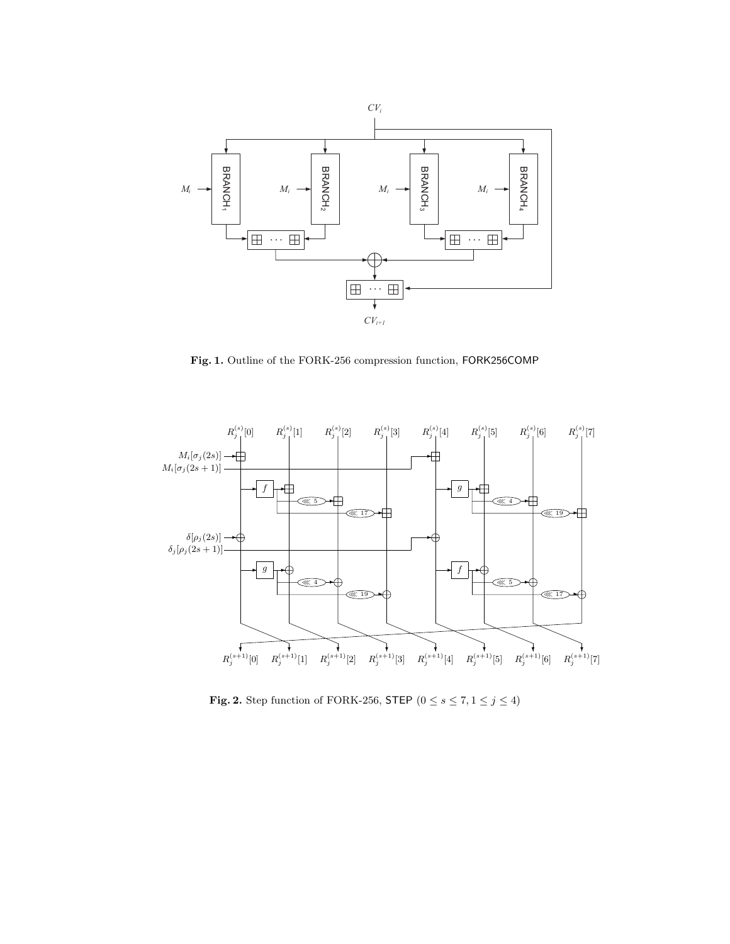

**Fig. 1.** Outline of the FORK-256 compression function, FORK256COMP



**Fig. 2.** Step function of FORK-256, STEP ( $0 \le s \le 7, 1 \le j \le 4$ )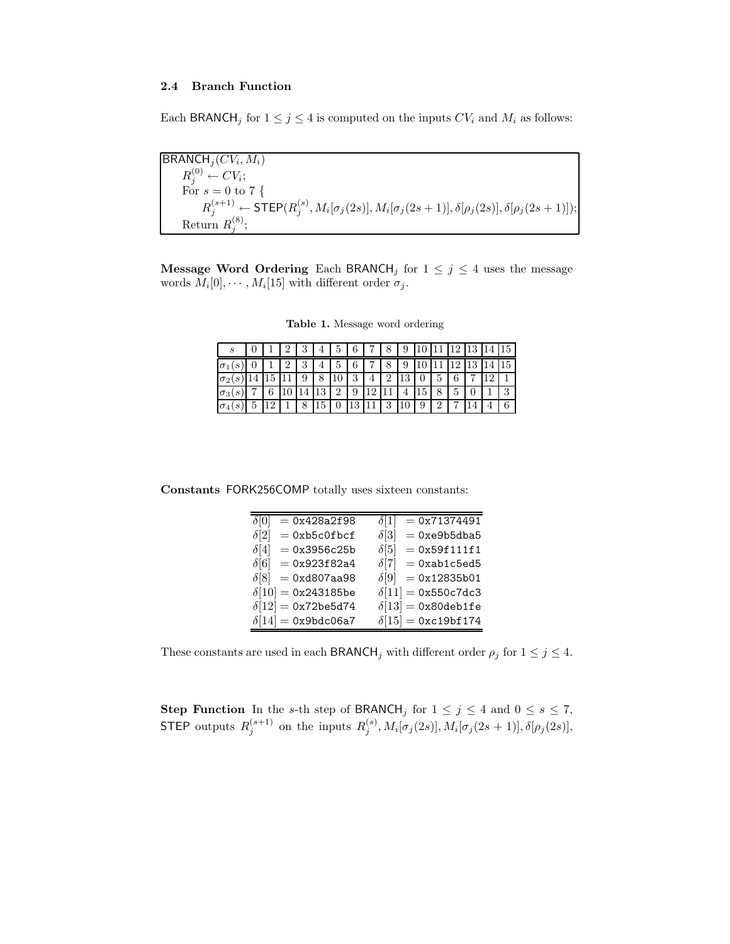## **2.4 Branch Function**

Each BRANCH<sub>j</sub> for  $1 \leq j \leq 4$  is computed on the inputs  $CV_i$  and  $M_i$  as follows:

 $BRANCH_j(CV_i, M_i)$ <br> $P^{(0)}$  $R_j^{(0)} \leftarrow CV_i;$ <br>For  $s = 0$  to For  $s = 0$  to 7 {<br> $P(s+1) = 57$  $R_j^{(s+1)} \leftarrow \textsf{STEP}(R_j^{(s)}, M_i[\sigma_j(2s)], M_i[\sigma_j(2s+1)], \delta[\rho_j(2s)], \delta[\rho_j(2s+1)]);$ Return  $R_j^{(8)}$ ;

**Message Word Ordering** Each BRANCH<sub>j</sub> for  $1 \leq j \leq 4$  uses the message words  $M_i[0], \cdots, M_i[15]$  with different order  $\sigma_j$ .

| $\boldsymbol{s}$            |  |        |                 | 5 | 6  |     |          | 9             |   |   | ച | 13 | 15       |
|-----------------------------|--|--------|-----------------|---|----|-----|----------|---------------|---|---|---|----|----------|
| $\sigma_1$<br>$\mathcal{L}$ |  | 2<br>Ω | 4               | 5 | 6  |     | 8        | 9             |   |   |   |    |          |
| $\sigma_2$                  |  |        | 8               |   | っ  |     | ച        | $\mathcal{P}$ |   | 5 | 6 |    |          |
| $\overline{\sigma_3}$       |  |        | 19              | റ | a  | 1 ດ |          |               |   | 8 | 5 |    | $\Omega$ |
| $\sigma_4$                  |  | 8      | 15 <sup>°</sup> |   | 13 |     | $\Omega$ |               | 9 | ച |   |    | ◠        |
|                             |  |        |                 |   |    |     |          |               |   |   |   |    |          |

**Table 1.** Message word ordering

**Constants** FORK256COMP totally uses sixteen constants:

| $= 0x428a2f98$<br>$\delta[0]$    | $= 0x71374491$<br>$\delta$ [1] |
|----------------------------------|--------------------------------|
| $\delta[2]$<br>$= 0xb5c0fbcf$    | $= 0xe9b5dba5$<br>$\delta$ [3] |
| $= 0x3956c25b$<br>$\delta[4]$    | $= 0x59f111f1$<br>$\delta$ [5] |
| $\delta[6] = 0x923f82a4$         | $\delta[7] = 0$ xab1c5ed5      |
| $\delta[8] = 0 \times 1807$ aa98 | $\delta[9] = 0x12835b01$       |
| $\delta[10] = 0x243185$ be       | $\delta[11] = 0x550c7dc3$      |
| $\delta[12] = 0x72$ be5d74       | $\delta[13] =$ 0x80deb1fe      |
| $\delta[14] =$ 0x9bdc06a7        | $\delta[15] =$ 0xc19bf174      |
|                                  |                                |

These constants are used in each  $\mathsf{BRANCH}_j$  with different order  $\rho_j$  for  $1 \leq j \leq 4$ .

**Step Function** In the s-th step of BRANCH<sub>j</sub> for  $1 \leq j \leq 4$  and  $0 \leq s \leq 7$ ,<br>**STEP** subjects  $P^{(s+1)}$  on the invatig  $P^{(s)}$ ,  $M_{\text{loc}}(2)$ ,  $M_{\text{loc}}(2)$ ,  $(2)$ ,  $(3)$ ,  $(4)$ STEP outputs  $R_j^{(s+1)}$  on the inputs  $R_j^{(s)}$ ,  $M_i[\sigma_j(2s)]$ ,  $M_i[\sigma_j(2s+1)]$ ,  $\delta[\rho_j(2s)]$ ,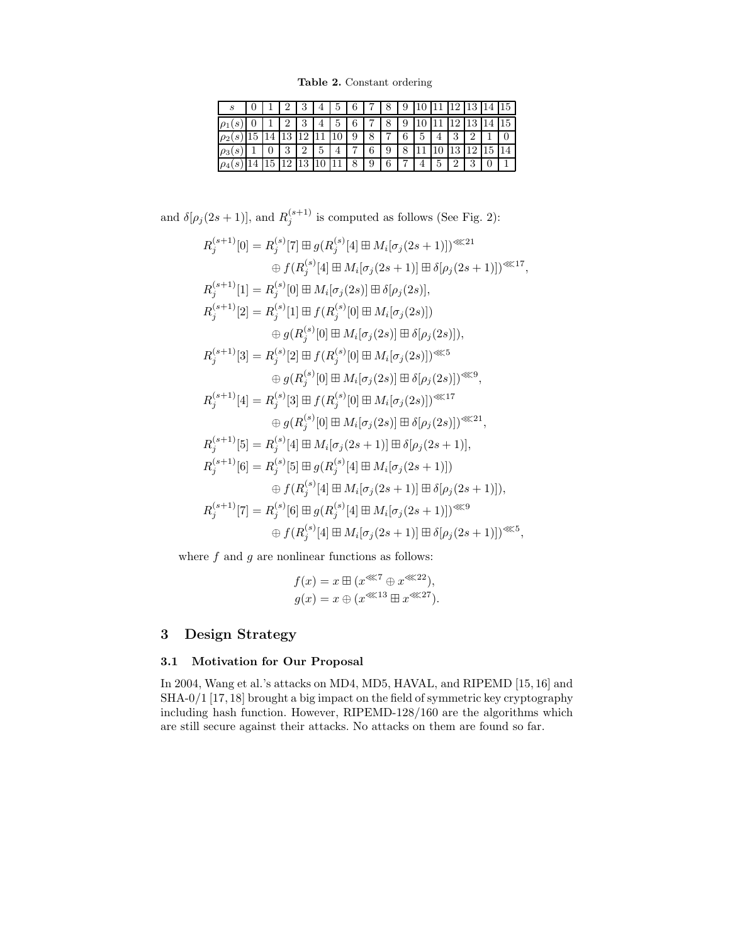**Table 2.** Constant ordering

| S        |  |        |    | 4 | 5  | 6              |   |                | 9              |   |   | 12             | 13       | 14 | 15 <sup>1</sup> |
|----------|--|--------|----|---|----|----------------|---|----------------|----------------|---|---|----------------|----------|----|-----------------|
|          |  | ٠,     | 3  | 4 | 5  | 6              | 7 | 8              | 9              |   |   | 12             | 13       |    | 15              |
| $\rho_2$ |  | 19.    | ച  |   | 10 | 9              | 8 | $\overline{ }$ | 6              | 5 |   | 3              | $\Omega$ |    |                 |
| $\circ$  |  | 2<br>υ | റ  | 5 |    | $\overline{ }$ | 6 | 9              | 8              |   |   | 19<br>TΟ       | 1 ດ      | 15 | 14              |
| $\rho_4$ |  | 12     | 13 |   |    | 8              | 9 | 6              | $\overline{ }$ | 4 | 5 | $\overline{2}$ | 3        |    |                 |

and  $\delta[\rho_j(2s+1)]$ , and  $R_j^{(s+1)}$  is computed as follows (See Fig. 2):

$$
R_j^{(s+1)}[0] = R_j^{(s)}[7] \boxplus g(R_j^{(s)}[4] \boxplus M_i[\sigma_j(2s+1)])^{\lll 21}
$$
  
\n
$$
\oplus f(R_j^{(s)}[4] \boxplus M_i[\sigma_j(2s+1)] \boxplus \delta[\rho_j(2s+1)])^{\lll 27},
$$
  
\n
$$
R_j^{(s+1)}[1] = R_j^{(s)}[0] \boxplus M_i[\sigma_j(2s)] \boxplus \delta[\rho_j(2s)],
$$
  
\n
$$
R_j^{(s+1)}[2] = R_j^{(s)}[1] \boxplus f(R_j^{(s)}[0] \boxplus M_i[\sigma_j(2s)])
$$
  
\n
$$
\oplus g(R_j^{(s)}[0] \boxplus M_i[\sigma_j(2s)] \boxplus \delta[\rho_j(2s)]),
$$
  
\n
$$
R_j^{(s+1)}[3] = R_j^{(s)}[2] \boxplus f(R_j^{(s)}[0] \boxplus M_i[\sigma_j(2s)])^{\lll 5}
$$
  
\n
$$
\oplus g(R_j^{(s)}[0] \boxplus M_i[\sigma_j(2s)] \boxplus \delta[\rho_j(2s)])^{\lll 9},
$$
  
\n
$$
R_j^{(s+1)}[4] = R_j^{(s)}[3] \boxplus f(R_j^{(s)}[0] \boxplus M_i[\sigma_j(2s)])^{\lll 17}
$$
  
\n
$$
\oplus g(R_j^{(s)}[0] \boxplus M_i[\sigma_j(2s)] \boxplus \delta[\rho_j(2s)])^{\lll 21},
$$
  
\n
$$
R_j^{(s+1)}[5] = R_j^{(s)}[4] \boxplus M_i[\sigma_j(2s+1)] \boxplus \delta[\rho_j(2s+1)],
$$
  
\n
$$
R_j^{(s+1)}[6] = R_j^{(s)}[5] \boxplus g(R_j^{(s)}[4] \boxplus M_i[\sigma_j(2s+1)]] \boxplus \delta[\rho_j(2s+1)]),
$$
  
\n
$$
R_j^{(s+1)}[7] = R_j^{(s)}[6] \boxplus g(R_j^{(s)}[4] \boxplus M_i[\sigma_j(2s+1)]] \boxplus \delta[\rho_j(2s+1)])^{\lll 5},
$$
  
\n
$$
\oplus f(R_j^{(s)}
$$

where  $f$  and  $g$  are nonlinear functions as follows:

$$
f(x) = x \boxplus (x^{\lll 7} \oplus x^{\lll 22}),
$$
  

$$
g(x) = x \oplus (x^{\lll 13} \boxplus x^{\lll 27}).
$$

# **3 Design Strategy**

## **3.1 Motivation for Our Proposal**

In 2004, Wang et al.'s attacks on MD4, MD5, HAVAL, and RIPEMD [15, 16] and SHA-0/1 [17, 18] brought a big impact on the field of symmetric key cryptography including hash function. However, RIPEMD-128/160 are the algorithms which are still secure against their attacks. No attacks on them are found so far.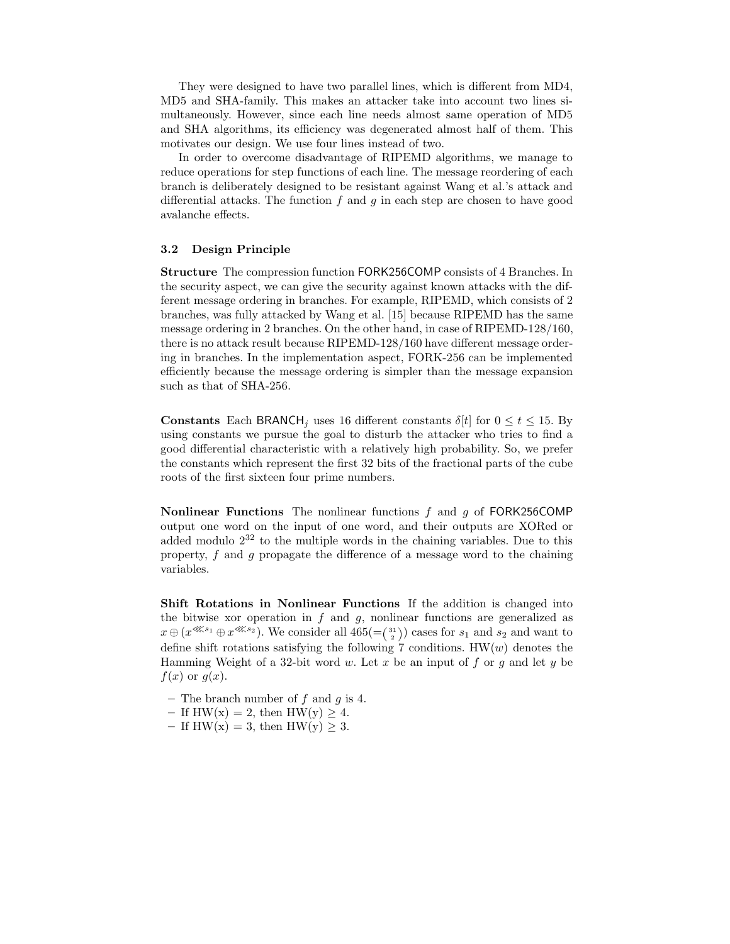They were designed to have two parallel lines, which is different from MD4, MD5 and SHA-family. This makes an attacker take into account two lines simultaneously. However, since each line needs almost same operation of MD5 and SHA algorithms, its efficiency was degenerated almost half of them. This motivates our design. We use four lines instead of two.

In order to overcome disadvantage of RIPEMD algorithms, we manage to reduce operations for step functions of each line. The message reordering of each branch is deliberately designed to be resistant against Wang et al.'s attack and differential attacks. The function  $f$  and  $g$  in each step are chosen to have good avalanche effects.

## **3.2 Design Principle**

**Structure** The compression function FORK256COMP consists of 4 Branches. In the security aspect, we can give the security against known attacks with the different message ordering in branches. For example, RIPEMD, which consists of 2 branches, was fully attacked by Wang et al. [15] because RIPEMD has the same message ordering in 2 branches. On the other hand, in case of RIPEMD-128/160, there is no attack result because RIPEMD-128/160 have different message ordering in branches. In the implementation aspect, FORK-256 can be implemented efficiently because the message ordering is simpler than the message expansion such as that of SHA-256.

**Constants** Each BRANCH<sub>j</sub> uses 16 different constants  $\delta[t]$  for  $0 \le t \le 15$ . By using constants we pursue the goal to disturb the attacker who tries to find a good differential characteristic with a relatively high probability. So, we prefer the constants which represent the first 32 bits of the fractional parts of the cube roots of the first sixteen four prime numbers.

**Nonlinear Functions** The nonlinear functions f and g of FORK256COMP output one word on the input of one word, and their outputs are XORed or added modulo  $2^{32}$  to the multiple words in the chaining variables. Due to this property,  $f$  and  $g$  propagate the difference of a message word to the chaining variables.

**Shift Rotations in Nonlinear Functions** If the addition is changed into the bitwise xor operation in  $f$  and  $g$ , nonlinear functions are generalized as  $x \oplus (x^{\lll s_1} \oplus x^{\lll s_2})$ . We consider all  $465 = \binom{31}{2}$  cases for  $s_1$  and  $s_2$  and want to define this relations estimately the following 7 conditions  $\text{HW}(a_1)$  denotes the define shift rotations satisfying the following 7 conditions.  $HW(w)$  denotes the Hamming Weight of a 32-bit word w. Let x be an input of f or g and let y be  $f(x)$  or  $q(x)$ .

- **–** The branch number of f and g is 4.
- If  $HW(x) = 2$ , then  $HW(y) \geq 4$ .
- $-$  If HW(x) = 3, then HW(y)  $\geq 3$ .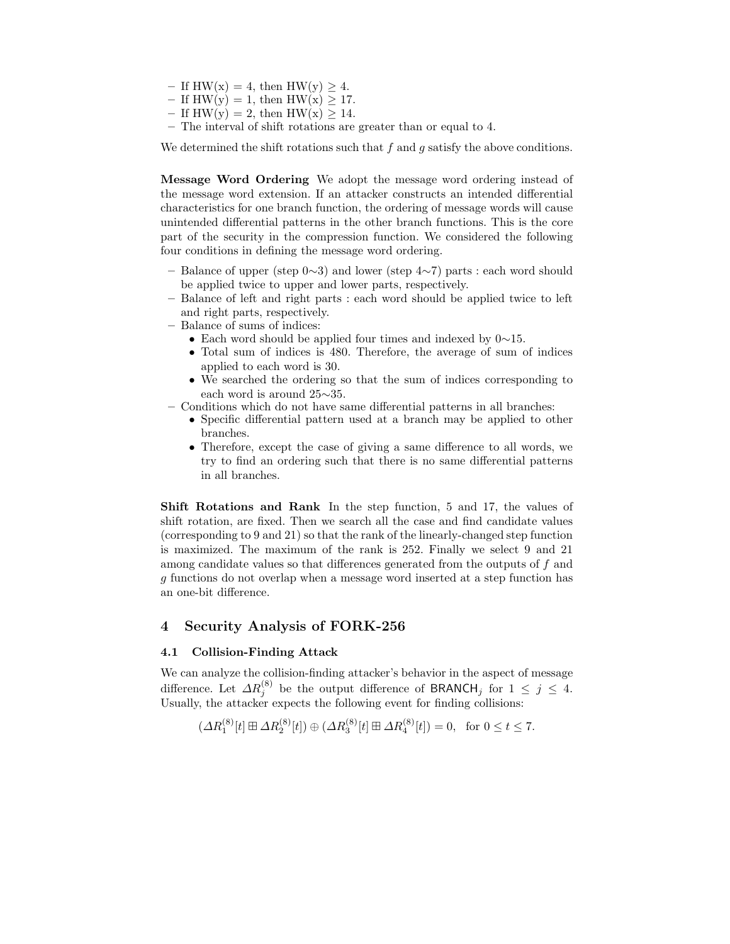- $-$  If HW(x) = 4, then HW(y) > 4.
- $-$  If HW(y) = 1, then HW(x) > 17.
- $-$  If HW(y) = 2, then HW(x) > 14.
- **–** The interval of shift rotations are greater than or equal to 4.

We determined the shift rotations such that  $f$  and  $g$  satisfy the above conditions.

**Message Word Ordering** We adopt the message word ordering instead of the message word extension. If an attacker constructs an intended differential characteristics for one branch function, the ordering of message words will cause unintended differential patterns in the other branch functions. This is the core part of the security in the compression function. We considered the following four conditions in defining the message word ordering.

- **–** Balance of upper (step 0∼3) and lower (step 4∼7) parts : each word should be applied twice to upper and lower parts, respectively.
- **–** Balance of left and right parts : each word should be applied twice to left and right parts, respectively.
- **–** Balance of sums of indices:
	- Each word should be applied four times and indexed by 0∼15.
	- Total sum of indices is 480. Therefore, the average of sum of indices applied to each word is 30.
	- We searched the ordering so that the sum of indices corresponding to each word is around 25∼35.
- **–** Conditions which do not have same differential patterns in all branches:
	- Specific differential pattern used at a branch may be applied to other branches.
	- Therefore, except the case of giving a same difference to all words, we try to find an ordering such that there is no same differential patterns in all branches.

**Shift Rotations and Rank** In the step function, 5 and 17, the values of shift rotation, are fixed. Then we search all the case and find candidate values (corresponding to 9 and 21) so that the rank of the linearly-changed step function is maximized. The maximum of the rank is 252. Finally we select 9 and 21 among candidate values so that differences generated from the outputs of f and g functions do not overlap when a message word inserted at a step function has an one-bit difference.

## **4 Security Analysis of FORK-256**

### **4.1 Collision-Finding Attack**

We can analyze the collision-finding attacker's behavior in the aspect of message difference. Let  $\Delta R_j^{(8)}$  be the output difference of BRANCH<sub>j</sub> for  $1 \leq j \leq 4$ .<br>Henally the attacker expects the following event for finding collisions: Usually, the attacker expects the following event for finding collisions:

$$
(\Delta R_1^{(8)}[t] \boxplus \Delta R_2^{(8)}[t]) \oplus (\Delta R_3^{(8)}[t] \boxplus \Delta R_4^{(8)}[t]) = 0, \text{ for } 0 \le t \le 7.
$$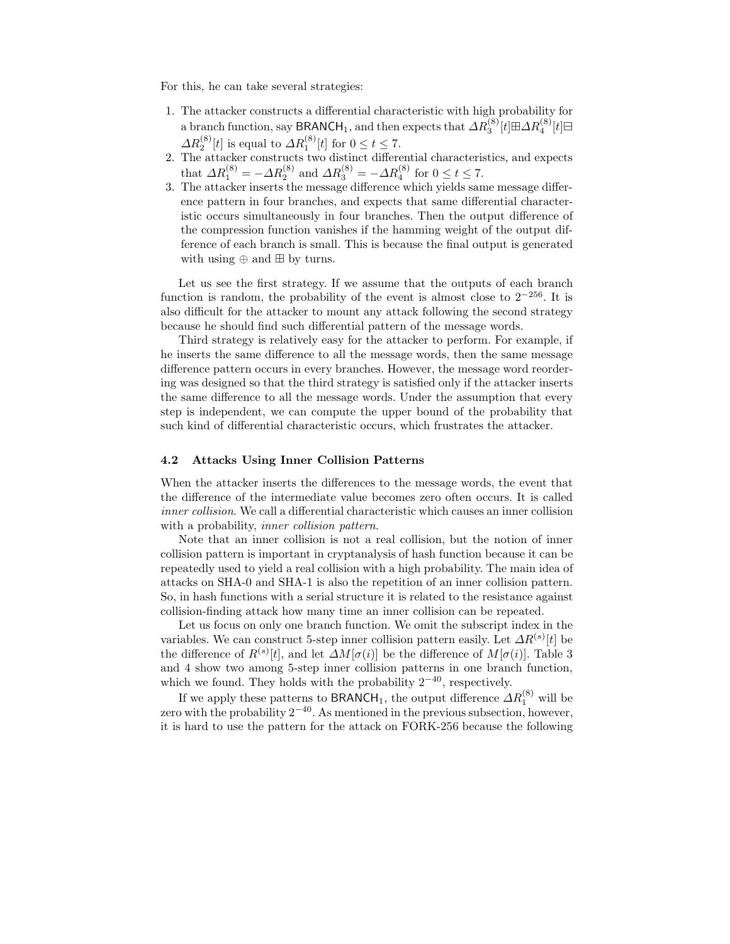For this, he can take several strategies:

- 1. The attacker constructs a differential characteristic with high probability for a branch function, say BRANCH<sub>1</sub>, and then expects that  $\Delta R_3^{(8)}[t]\boxplus \Delta R_4^{(8)}[t]\boxplus$  $\Delta R_2^{(8)}[t]$  is equal to  $\Delta R_1^{(8)}[t]$  for  $0 \le t \le 7$ .<br>2. The attacker constructs two distinct differential characteristics, and expects
- that  $\Delta R_1^{(8)} = -\Delta R_2^{(8)}$  and  $\Delta R_3^{(8)} = -\Delta R_4^{(8)}$  for  $0 \le t \le 7$ .<br>The attacker inserts the message difference which yields sam
- 3. The attacker inserts the message difference which yields same message difference pattern in four branches, and expects that same differential characteristic occurs simultaneously in four branches. Then the output difference of the compression function vanishes if the hamming weight of the output difference of each branch is small. This is because the final output is generated with using  $\oplus$  and  $\boxplus$  by turns.

Let us see the first strategy. If we assume that the outputs of each branch function is random, the probability of the event is almost close to 2*−*256. It is also difficult for the attacker to mount any attack following the second strategy because he should find such differential pattern of the message words.

Third strategy is relatively easy for the attacker to perform. For example, if he inserts the same difference to all the message words, then the same message difference pattern occurs in every branches. However, the message word reordering was designed so that the third strategy is satisfied only if the attacker inserts the same difference to all the message words. Under the assumption that every step is independent, we can compute the upper bound of the probability that such kind of differential characteristic occurs, which frustrates the attacker.

## **4.2 Attacks Using Inner Collision Patterns**

When the attacker inserts the differences to the message words, the event that the difference of the intermediate value becomes zero often occurs. It is called *inner collision*. We call a differential characteristic which causes an inner collision with a probability, *inner collision pattern*.

Note that an inner collision is not a real collision, but the notion of inner collision pattern is important in cryptanalysis of hash function because it can be repeatedly used to yield a real collision with a high probability. The main idea of attacks on SHA-0 and SHA-1 is also the repetition of an inner collision pattern. So, in hash functions with a serial structure it is related to the resistance against collision-finding attack how many time an inner collision can be repeated.

Let us focus on only one branch function. We omit the subscript index in the variables. We can construct 5-step inner collision pattern easily. Let  $\Delta R^{(s)}[t]$  be the difference of  $R^{(s)}[t]$ , and let  $\Delta M[\sigma(i)]$  be the difference of  $M[\sigma(i)]$ . Table 3<br>and 4 show two among 5-step inner collision patterns in one branch function and 4 show two among 5-step inner collision patterns in one branch function, which we found. They holds with the probability 2*−*<sup>40</sup>, respectively.

If we apply these patterns to  $\text{BRANCH}_1$ , the output difference  $\Delta R_1^{(8)}$  will be used in the probability  $2^{-40}$ . As mentioned in the previous subsection, however zero with the probability 2*−*<sup>40</sup>. As mentioned in the previous subsection, however, it is hard to use the pattern for the attack on FORK-256 because the following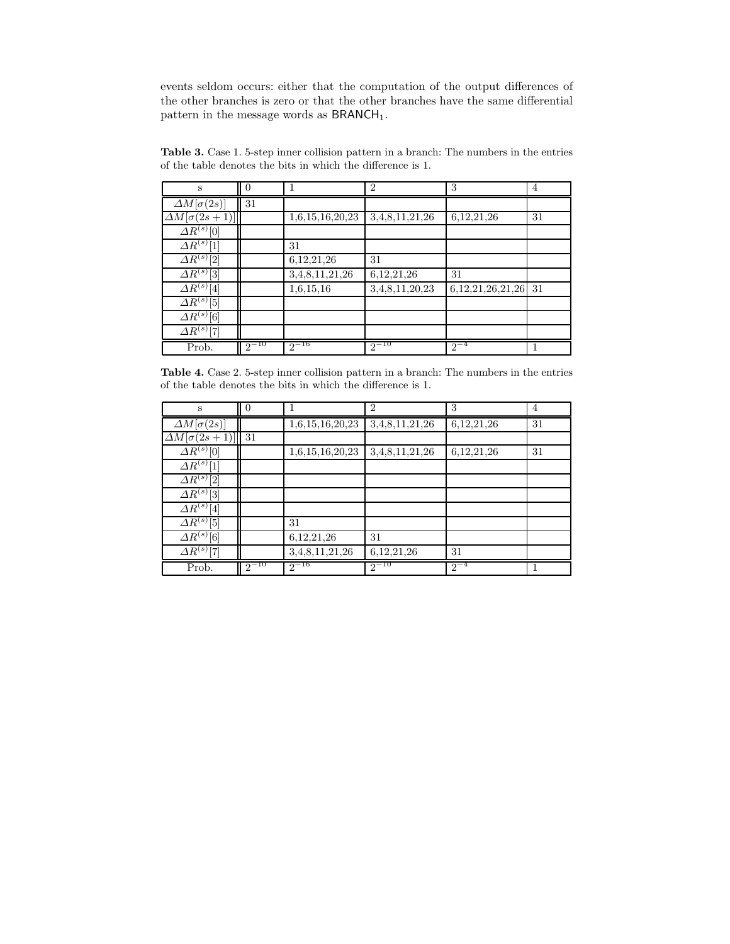events seldom occurs: either that the computation of the output differences of the other branches is zero or that the other branches have the same differential pattern in the message words as  $BRANCH<sub>1</sub>$ .

| S                        | $\Omega$  | 1               | $\overline{2}$ | 3                     | 4  |
|--------------------------|-----------|-----------------|----------------|-----------------------|----|
| $\Delta M[\sigma(2s)]$   | 31        |                 |                |                       |    |
| $\Delta M[\sigma(2s+1)]$ |           | 1,6,15,16,20,23 | 3,4,8,11,21,26 | 6, 12, 21, 26         | 31 |
| $\Delta R^{(s)}[0]$      |           |                 |                |                       |    |
| $\Delta R^{(s)}[1]$      |           | 31              |                |                       |    |
| $\varDelta R^{(s)}[2]$   |           | 6, 12, 21, 26   | 31             |                       |    |
| $\Delta R^{(s)}[3]$      |           | 3,4,8,11,21,26  | 6, 12, 21, 26  | 31                    |    |
| $\Delta R^{(s)}[4]$      |           | 1,6,15,16       | 3,4,8,11,20,23 | 6, 12, 21, 26, 21, 26 | 31 |
| $\Delta R^{(s)}[5]$      |           |                 |                |                       |    |
| $\Delta R^{(s)}[6]$      |           |                 |                |                       |    |
| $\varDelta R^{(s)}[7]$   |           |                 |                |                       |    |
| Prob.                    | $2^{-10}$ | $2^{-16}$       | $2^{-10}$      | $2^{-4}$              |    |

**Table 3.** Case 1. 5-step inner collision pattern in a branch: The numbers in the entries of the table denotes the bits in which the difference is 1.

**Table 4.** Case 2. 5-step inner collision pattern in a branch: The numbers in the entries of the table denotes the bits in which the difference is 1.

| S                        | $\theta$  | 1               | $\overline{2}$ | 3             | 4  |
|--------------------------|-----------|-----------------|----------------|---------------|----|
| $\Delta M[\sigma(2s)]$   |           | 1,6,15,16,20,23 | 3,4,8,11,21,26 | 6, 12, 21, 26 | 31 |
| $\Delta M[\sigma(2s+1)]$ | 31        |                 |                |               |    |
| $\varDelta R^{(s)}[0]$   |           | 1,6,15,16,20,23 | 3,4,8,11,21,26 | 6, 12, 21, 26 | 31 |
| $\Delta R^{(s)}[1]$      |           |                 |                |               |    |
| $\varDelta R^{(s)}[2]$   |           |                 |                |               |    |
| $\varDelta R^{(s)}[3]$   |           |                 |                |               |    |
| $\varDelta R^{(s)}[4]$   |           |                 |                |               |    |
| $\varDelta R^{(s)}[5]$   |           | 31              |                |               |    |
| $\varDelta R^{(s)}[6]$   |           | 6,12,21,26      | 31             |               |    |
| $\varDelta R^{(s)}[7]$   |           | 3,4,8,11,21,26  | 6, 12, 21, 26  | 31            |    |
| Prob.                    | $2^{-10}$ | $2^{-16}$       | $2^{-10}$      | $2^{-4}$      |    |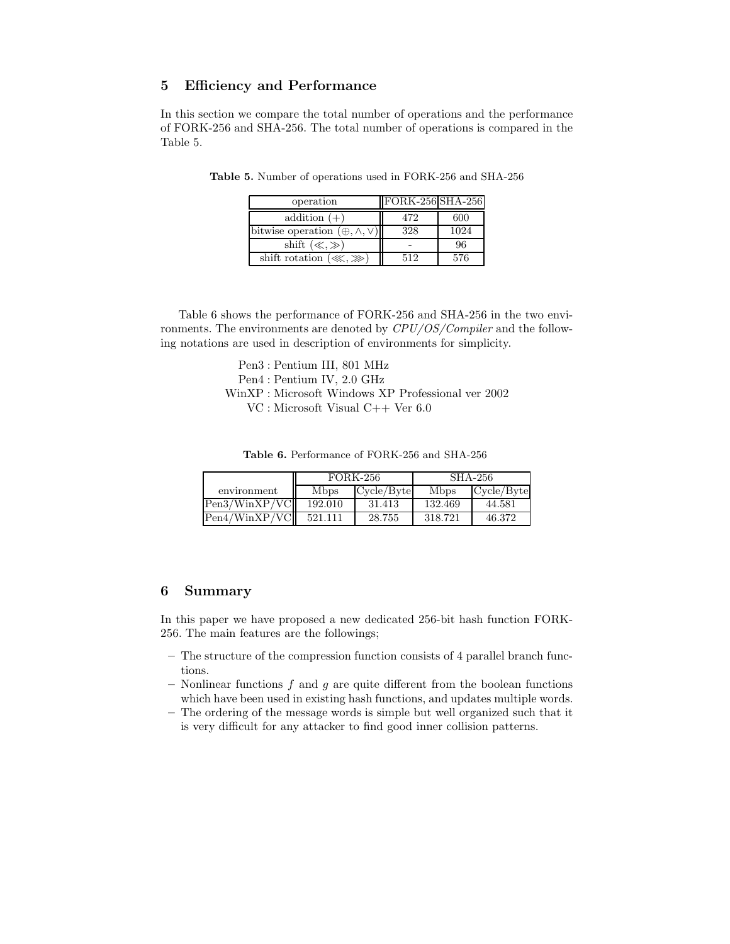# **5 Efficiency and Performance**

In this section we compare the total number of operations and the performance of FORK-256 and SHA-256. The total number of operations is compared in the Table 5.

| operation                                  | $FORK-256$ SHA-256 |      |
|--------------------------------------------|--------------------|------|
| addition $(+)$                             | 472                | 600  |
| bitwise operation $(\oplus, \wedge, \vee)$ | 328                | 1024 |
| shift $(\ll, \gg)$                         |                    | 96   |
| shift rotation $(\lll, \ggl)$              | 512                | 576  |

**Table 5.** Number of operations used in FORK-256 and SHA-256

Table 6 shows the performance of FORK-256 and SHA-256 in the two environments. The environments are denoted by *CPU/OS/Compiler* and the following notations are used in description of environments for simplicity.

> Pen3 : Pentium III, 801 MHz Pen4 : Pentium IV, 2.0 GHz WinXP : Microsoft Windows XP Professional ver 2002 VC : Microsoft Visual C++ Ver 6.0

**Table 6.** Performance of FORK-256 and SHA-256

|               |         | FORK-256   | SHA-256      |            |  |  |  |  |
|---------------|---------|------------|--------------|------------|--|--|--|--|
| environment   | Mbps    | Cycle/Byte | <b>M</b> bps | Cycle/Byte |  |  |  |  |
| Pen3/WinXP/VC | 192.010 | 31.413     | 132.469      | 44.581     |  |  |  |  |
| Pen4/WinXP/VC | 521.111 | 28.755     | 318.721      | 46.372     |  |  |  |  |

## **6 Summary**

In this paper we have proposed a new dedicated 256-bit hash function FORK-256. The main features are the followings;

- **–** The structure of the compression function consists of 4 parallel branch functions.
- **–** Nonlinear functions f and g are quite different from the boolean functions which have been used in existing hash functions, and updates multiple words.
- **–** The ordering of the message words is simple but well organized such that it is very difficult for any attacker to find good inner collision patterns.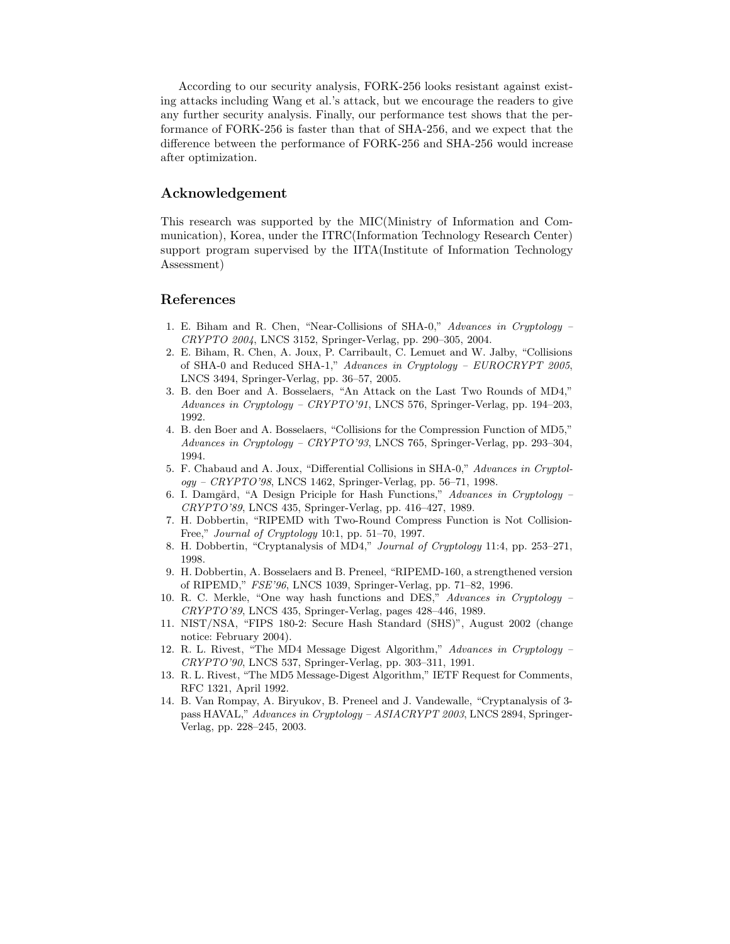According to our security analysis, FORK-256 looks resistant against existing attacks including Wang et al.'s attack, but we encourage the readers to give any further security analysis. Finally, our performance test shows that the performance of FORK-256 is faster than that of SHA-256, and we expect that the difference between the performance of FORK-256 and SHA-256 would increase after optimization.

## **Acknowledgement**

This research was supported by the MIC(Ministry of Information and Communication), Korea, under the ITRC(Information Technology Research Center) support program supervised by the IITA(Institute of Information Technology Assessment)

## **References**

- 1. E. Biham and R. Chen, "Near-Collisions of SHA-0," *Advances in Cryptology – CRYPTO 2004*, LNCS 3152, Springer-Verlag, pp. 290–305, 2004.
- 2. E. Biham, R. Chen, A. Joux, P. Carribault, C. Lemuet and W. Jalby, "Collisions of SHA-0 and Reduced SHA-1," *Advances in Cryptology – EUROCRYPT 2005*, LNCS 3494, Springer-Verlag, pp. 36–57, 2005.
- 3. B. den Boer and A. Bosselaers, "An Attack on the Last Two Rounds of MD4," *Advances in Cryptology – CRYPTO'91*, LNCS 576, Springer-Verlag, pp. 194–203, 1992.
- 4. B. den Boer and A. Bosselaers, "Collisions for the Compression Function of MD5," *Advances in Cryptology – CRYPTO'93*, LNCS 765, Springer-Verlag, pp. 293–304, 1994.
- 5. F. Chabaud and A. Joux, "Differential Collisions in SHA-0," *Advances in Cryptology – CRYPTO'98*, LNCS 1462, Springer-Verlag, pp. 56–71, 1998.
- 6. I. Damg˚ard, "A Design Priciple for Hash Functions," *Advances in Cryptology – CRYPTO'89*, LNCS 435, Springer-Verlag, pp. 416–427, 1989.
- 7. H. Dobbertin, "RIPEMD with Two-Round Compress Function is Not Collision-Free," *Journal of Cryptology* 10:1, pp. 51–70, 1997.
- 8. H. Dobbertin, "Cryptanalysis of MD4," *Journal of Cryptology* 11:4, pp. 253–271, 1998.
- 9. H. Dobbertin, A. Bosselaers and B. Preneel, "RIPEMD-160, a strengthened version of RIPEMD," *FSE'96*, LNCS 1039, Springer-Verlag, pp. 71–82, 1996.
- 10. R. C. Merkle, "One way hash functions and DES," *Advances in Cryptology – CRYPTO'89*, LNCS 435, Springer-Verlag, pages 428–446, 1989.
- 11. NIST/NSA, "FIPS 180-2: Secure Hash Standard (SHS)", August 2002 (change notice: February 2004).
- 12. R. L. Rivest, "The MD4 Message Digest Algorithm," *Advances in Cryptology – CRYPTO'90*, LNCS 537, Springer-Verlag, pp. 303–311, 1991.
- 13. R. L. Rivest, "The MD5 Message-Digest Algorithm," IETF Request for Comments, RFC 1321, April 1992.
- 14. B. Van Rompay, A. Biryukov, B. Preneel and J. Vandewalle, "Cryptanalysis of 3 pass HAVAL," *Advances in Cryptology – ASIACRYPT 2003*, LNCS 2894, Springer-Verlag, pp. 228–245, 2003.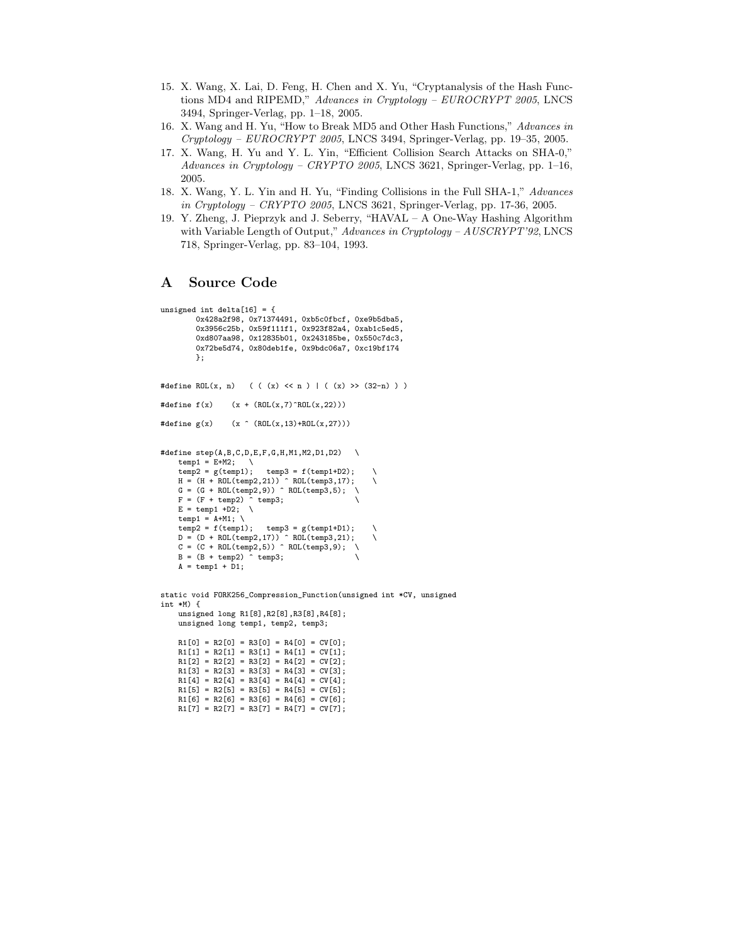- 15. X. Wang, X. Lai, D. Feng, H. Chen and X. Yu, "Cryptanalysis of the Hash Functions MD4 and RIPEMD," *Advances in Cryptology – EUROCRYPT 2005*, LNCS 3494, Springer-Verlag, pp. 1–18, 2005.
- 16. X. Wang and H. Yu, "How to Break MD5 and Other Hash Functions," *Advances in Cryptology – EUROCRYPT 2005*, LNCS 3494, Springer-Verlag, pp. 19–35, 2005.
- 17. X. Wang, H. Yu and Y. L. Yin, "Efficient Collision Search Attacks on SHA-0," *Advances in Cryptology – CRYPTO 2005*, LNCS 3621, Springer-Verlag, pp. 1–16, 2005.
- 18. X. Wang, Y. L. Yin and H. Yu, "Finding Collisions in the Full SHA-1," *Advances in Cryptology – CRYPTO 2005*, LNCS 3621, Springer-Verlag, pp. 17-36, 2005.
- 19. Y. Zheng, J. Pieprzyk and J. Seberry, "HAVAL A One-Way Hashing Algorithm with Variable Length of Output," *Advances in Cryptology – AUSCRYPT'92*, LNCS 718, Springer-Verlag, pp. 83–104, 1993.

## **A Source Code**

```
unsigned int delta[16] = {
        0x428a2f98, 0x71374491, 0xb5c0fbcf, 0xe9b5dba5,
        0x3956c25b, 0x59f111f1, 0x923f82a4, 0xab1c5ed5,
        0xd807aa98, 0x12835b01, 0x243185be, 0x550c7dc3,
        0x72be5d74, 0x80deb1fe, 0x9bdc06a7, 0xc19bf174
        \cdot#define ROL(x, n) ( ( (x) << n ) | ( (x) >> (32-n) ) )
#define f(x) (x + (ROL(x,7)^nROL(x,22)))#define g(x) (x \hat{C} (ROL(x,13)+ROL(x,27)))
#define step(A,B,C,D,E,F,G,H,M1,M2,D1,D2) \setminustemp1 = E+M2; \qquad \temp2 = g(temp1); \text{ temp3 = f(temp1+D2)};H = (H + ROL(temp2,21)) ^ ROL(temp3,17); \
    G = (G + ROL(\text{temp2}, 9)) \cap ROL(\text{temp3}, 5); \quad \BoxF = (F + temp2) \times temp3;
    E = temp1 + D2; \quad \Boxtemp1 = A+M1; \
    temp2 = f(temp1); temp3 = g(temp1+D1);D = (D + ROL(temp2,17)) ^ ROL(temp3,21); \
C = (C + ROL(temp2,5)) ^ ROL(temp3,9); \
    B = (B + temp2) \text{temp3};A = temp1 + D1;static void FORK256_Compression_Function(unsigned int *CV, unsigned
int *M) {
   unsigned long R1[8],R2[8],R3[8],R4[8];
    unsigned long temp1, temp2, temp3;
    R1[0] = R2[0] = R3[0] = R4[0] = CV[0];R1[1] = R2[1] = R3[1] = R4[1] = CV[1];R1[2] = R2[2] = R3[2] = R4[2] = CV[2];R1[3] = R2[3] = R3[3] = R4[3] = CV[3];R1[4] = R2[4] = R3[4] = R4[4] = CV[4];R1[5] = R2[5] = R3[5] = R4[5] = CV[5];R1[6] = R2[6] = R3[6] = R4[6] = CV[6];
```
 $R1[7] = R2[7] = R3[7] = R4[7] = CV[7];$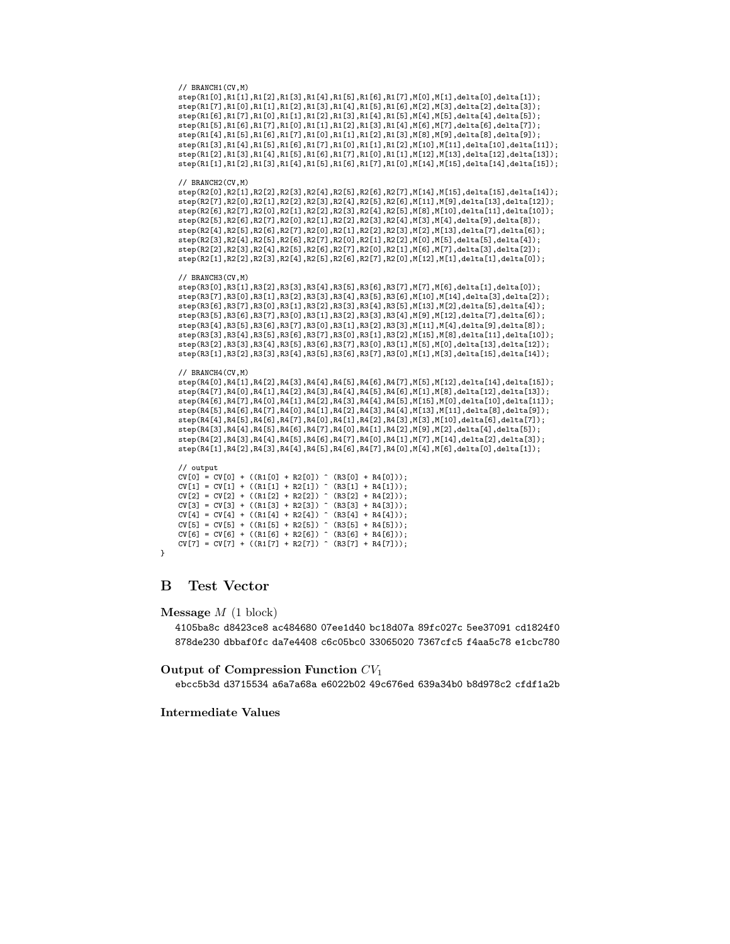```
step(R1[4],R1[5],R1[6],R1[7],R1[0],R1[1],R1[2],R1[3],M[8],M[9],delta[8],delta[9]);
step(R1[3],R1[4],R1[5],R1[6],R1[7],R1[0],R1[1],R1[2],M[10],M[11],delta[10],delta[11]);
step(R1[2],R1[3],R1[4],R1[5],R1[6],R1[7],R1[0],R1[1],M[12],M[13],delta[12],delta[13]);
step(R1[1],R1[2],R1[3],R1[4],R1[5],R1[6],R1[7],R1[0],M[14],M[15],delta[14],delta[15]);
// BRANCH2(CV,M)
step(R2[0],R2[1],R2[2],R2[3],R2[4],R2[5],R2[6],R2[7],M[14],M[15],delta[15],delta[14]);
step(R2[7],R2[0],R2[1],R2[2],R2[3],R2[4],R2[5],R2[6],M[11],M[9],delta[13],delta[12]);
step(R2[6],R2[7],R2[0],R2[1],R2[2],R2[3],R2[4],R2[5],M[8],M[10],delta[11],delta[10]);
step(R2[5],R2[6],R2[7],R2[0],R2[1],R2[2],R2[3],R2[4],M[3],M[4],delta[9],delta[8]);
step(R2[4],R2[5],R2[6],R2[7],R2[0],R2[1],R2[2],R2[3],M[2],M[13],delta[7],delta[6]);
step(R2[3],R2[4],R2[5],R2[6],R2[7],R2[0],R2[1],R2[2],M[0],M[5],delta[5],delta[4]);
step(R2[2],R2[3],R2[4],R2[5],R2[6],R2[7],R2[0],R2[1],M[6],M[7],delta[3],delta[2]);
step(R2[1],R2[2],R2[3],R2[4],R2[5],R2[6],R2[7],R2[0],M[12],M[1],delta[1],delta[0]);
// BRANCH3(CV,M)
step(R3[0],R3[1],R3[2],R3[3],R3[4],R3[5],R3[6],R3[7],M[7],M[6],delta[1],delta[0]);
step(R3[7],R3[0],R3[1],R3[2],R3[3],R3[4],R3[5],R3[6],M[10],M[14],delta[3],delta[2]);<br>step(R3[6],R3[7],R3[0],R3[1],R3[2],R3[3],R3[4],R3[5],M[13],M[2],delta[5],delta[4]);<br>step(R3[5],R3[6],R3[7],R3[0],R3[1],R3[2],R3[3],R3[4],
step(R3[4],R3[5],R3[6],R3[7],R3[0],R3[1],R3[2],R3[3],M[11],M[4],delta[9],delta[8]);
step(R3[3],R3[4],R3[5],R3[6],R3[7],R3[0],R3[1],R3[2],M[15],M[8],delta[11],delta[10]);
```
step(R1[0],R1[1],R1[2],R1[3],R1[4],R1[5],R1[6],R1[7],M[0],M[1],delta[0],delta[1]); step(R1[7],R1[0],R1[1],R1[2],R1[3],R1[4],R1[5],R1[6],M[2],M[3],delta[2],delta[3]); step(R1[6],R1[7],R1[0],R1[1],R1[2],R1[3],R1[4],R1[5],M[4],M[5],delta[4],delta[5]); step(R1[5],R1[6],R1[7],R1[0],R1[1],R1[2],R1[3],R1[4],M[6],M[7],delta[6],delta[7]);

// BRANCH4(CV,M) step(R4[0],R4[1],R4[2],R4[3],R4[4],R4[5],R4[6],R4[7],M[5],M[12],delta[14],delta[15]); step(R4[7],R4[0],R4[1],R4[2],R4[3],R4[4],R4[5],R4[6],M[1],M[8],delta[12],delta[13]); step(R4[6],R4[7],R4[0],R4[1],R4[2],R4[3],R4[4],R4[5],M[15],M[0],delta[10],delta[11]); step(R4[5],R4[6],R4[7],R4[0],R4[1],R4[2],R4[3],R4[4],M[13],M[11],delta[8],delta[9]); step(R4[4],R4[5],R4[6],R4[7],R4[0],R4[1],R4[2],R4[3],M[3],M[10],delta[6],delta[7]); step(R4[3],R4[4],R4[5],R4[6],R4[7],R4[0],R4[1],R4[2],M[9],M[2],delta[4],delta[5]); step(R4[2],R4[3],R4[4],R4[5],R4[6],R4[7],R4[0],R4[1],M[7],M[14],delta[2],delta[3]); step(R4[1],R4[2],R4[3],R4[4],R4[5],R4[6],R4[7],R4[0],M[4],M[6],delta[0],delta[1]);

step(R3[2],R3[3],R3[4],R3[5],R3[6],R3[7],R3[0],R3[1],M[5],M[0],delta[13],delta[12]); step(R3[1],R3[2],R3[3],R3[4],R3[5],R3[6],R3[7],R3[0],M[1],M[3],delta[15],delta[14]);

// output  $CV[0] = CV[0] + ((R1[0] + R2[0]) \cap (R3[0] + R4[0]))$ ;  $CV[1] = CV[1] + ((R1[1] + R2[1]) ^ (R3[1] + R4[1]))$ ;  $CV[2] = CV[2] + ((RI[2] + R2[2]) \cap (R3[2] + R4[2]))$ ; CV[3] = CV[3] + ((R1[3] + R2[3]) ^ (R3[3] + R4[3])); CV[4] = CV[4] + ((R1[4] + R2[4]) ^ (R3[4] + R4[4]));  $CV[5] = CV[5] + (R1[5] + R2[5]) ^ (R3[5] + R4[5]))$ ; CV[6] = CV[6] + ((R1[6] + R2[6]) ^ (R3[6] + R4[6])); CV[7] = CV[7] + ((R1[7] + R2[7]) ^ (R3[7] + R4[7]));

```
}
```
# **B Test Vector**

// BRANCH1(CV,M)

**Message** M (1 block)

4105ba8c d8423ce8 ac484680 07ee1d40 bc18d07a 89fc027c 5ee37091 cd1824f0 878de230 dbbaf0fc da7e4408 c6c05bc0 33065020 7367cfc5 f4aa5c78 e1cbc780

**Output of Compression Function**  $CV_1$ 

ebcc5b3d d3715534 a6a7a68a e6022b02 49c676ed 639a34b0 b8d978c2 cfdf1a2b

**Intermediate Values**